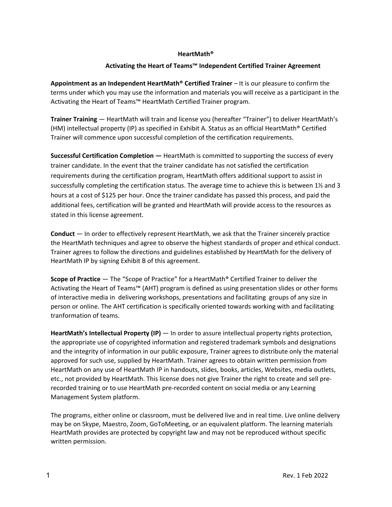### **HeartMath®**

## **Activating the Heart of Teams™ Independent Certified Trainer Agreement**

**Appointment as an Independent HeartMath® Certified Trainer** – It is our pleasure to confirm the terms under which you may use the information and materials you will receive as a participant in the Activating the Heart of Teams™ HeartMath Certified Trainer program.

**Trainer Training** — HeartMath will train and license you (hereafter "Trainer") to deliver HeartMath's (HM) intellectual property (IP) as specified in Exhibit A. Status as an official HeartMath® Certified Trainer will commence upon successful completion of the certification requirements.

**Successful Certification Completion —** HeartMath is committed to supporting the success of every trainer candidate. In the event that the trainer candidate has not satisfied the certification requirements during the certification program, HeartMath offers additional support to assist in successfully completing the certification status. The average time to achieve this is between 1½ and 3 hours at a cost of \$125 per hour. Once the trainer candidate has passed this process, and paid the additional fees, certification will be granted and HeartMath will provide access to the resources as stated in this license agreement.

**Conduct** — In order to effectively represent HeartMath, we ask that the Trainer sincerely practice the HeartMath techniques and agree to observe the highest standards of proper and ethical conduct. Trainer agrees to follow the directions and guidelines established by HeartMath for the delivery of HeartMath IP by signing Exhibit B of this agreement.

**Scope of Practice** — The "Scope of Practice" for a HeartMath® Certified Trainer to deliver the Activating the Heart of Teams™ (AHT) program is defined as using presentation slides or other forms of interactive media in delivering workshops, presentations and facilitating groups of any size in person or online. The AHT certification is specifically oriented towards working with and facilitating tranformation of teams.

**HeartMath's Intellectual Property (IP)** — In order to assure intellectual property rights protection, the appropriate use of copyrighted information and registered trademark symbols and designations and the integrity of information in our public exposure, Trainer agrees to distribute only the material approved for such use, supplied by HeartMath. Trainer agrees to obtain written permission from HeartMath on any use of HeartMath IP in handouts, slides, books, articles, Websites, media outlets, etc., not provided by HeartMath. This license does not give Trainer the right to create and sell prerecorded training or to use HeartMath pre-recorded content on social media or any Learning Management System platform.

The programs, either online or classroom, must be delivered live and in real time. Live online delivery may be on Skype, Maestro, Zoom, GoToMeeting, or an equivalent platform. The learning materials HeartMath provides are protected by copyright law and may not be reproduced without specific written permission.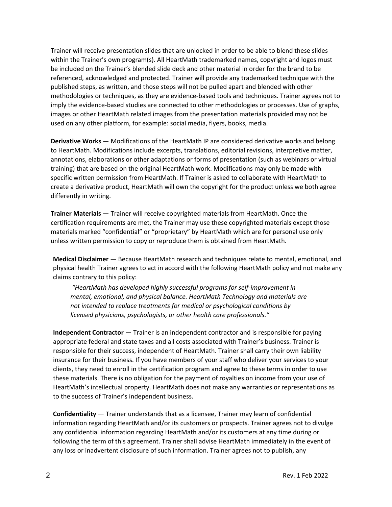Trainer will receive presentation slides that are unlocked in order to be able to blend these slides within the Trainer's own program(s). All HeartMath trademarked names, copyright and logos must be included on the Trainer's blended slide deck and other material in order for the brand to be referenced, acknowledged and protected. Trainer will provide any trademarked technique with the published steps, as written, and those steps will not be pulled apart and blended with other methodologies or techniques, as they are evidence-based tools and techniques. Trainer agrees not to imply the evidence-based studies are connected to other methodologies or processes. Use of graphs, images or other HeartMath related images from the presentation materials provided may not be used on any other platform, for example: social media, flyers, books, media.

**Derivative Works** — Modifications of the HeartMath IP are considered derivative works and belong to HeartMath. Modifications include excerpts, translations, editorial revisions, interpretive matter, annotations, elaborations or other adaptations or forms of presentation (such as webinars or virtual training) that are based on the original HeartMath work. Modifications may only be made with specific written permission from HeartMath. If Trainer is asked to collaborate with HeartMath to create a derivative product, HeartMath will own the copyright for the product unless we both agree differently in writing.

**Trainer Materials** — Trainer will receive copyrighted materials from HeartMath. Once the certification requirements are met, the Trainer may use these copyrighted materials except those materials marked "confidential" or "proprietary" by HeartMath which are for personal use only unless written permission to copy or reproduce them is obtained from HeartMath.

**Medical Disclaimer** — Because HeartMath research and techniques relate to mental, emotional, and physical health Trainer agrees to act in accord with the following HeartMath policy and not make any claims contrary to this policy:

*"HeartMath has developed highly successful programs for self-improvement in mental, emotional, and physical balance. HeartMath Technology and materials are not intended to replace treatments for medical or psychological conditions by licensed physicians, psychologists, or other health care professionals."*

**Independent Contractor** — Trainer is an independent contractor and is responsible for paying appropriate federal and state taxes and all costs associated with Trainer's business. Trainer is responsible for their success, independent of HeartMath. Trainer shall carry their own liability insurance for their business. If you have members of your staff who deliver your services to your clients, they need to enroll in the certification program and agree to these terms in order to use these materials. There is no obligation for the payment of royalties on income from your use of HeartMath's intellectual property. HeartMath does not make any warranties or representations as to the success of Trainer's independent business.

**Confidentiality** — Trainer understands that as a licensee, Trainer may learn of confidential information regarding HeartMath and/or its customers or prospects. Trainer agrees not to divulge any confidential information regarding HeartMath and/or its customers at any time during or following the term of this agreement. Trainer shall advise HeartMath immediately in the event of any loss or inadvertent disclosure of such information. Trainer agrees not to publish, any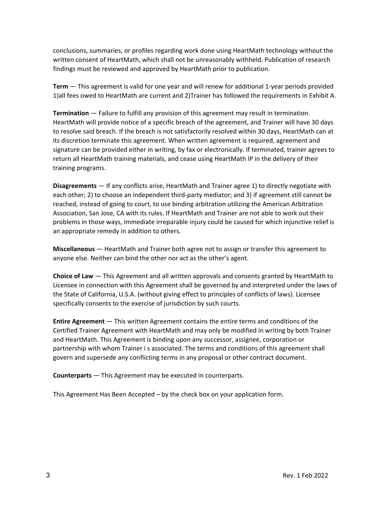conclusions, summaries, or profiles regarding work done using HeartMath technology without the written consent of HeartMath, which shall not be unreasonably withheld. Publication of research findings must be reviewed and approved by HeartMath prior to publication.

**Term** — This agreement is valid for one year and will renew for additional 1-year periods provided 1)all fees owed to HeartMath are current and 2)Trainer has followed the requirements in Exhibit A.

**Termination** — Failure to fulfill any provision of this agreement may result in termination. HeartMath will provide notice of a specific breach of the agreement, and Trainer will have 30 days to resolve said breach. If the breach is not satisfactorily resolved within 30 days, HeartMath can at its discretion terminate this agreement. When written agreement is required, agreement and signature can be provided either in writing, by fax or electronically. If terminated, trainer agrees to return all HeartMath training materials, and cease using HeartMath IP in the delivery of their training programs.

**Disagreements** — If any conflicts arise, HeartMath and Trainer agree 1) to directly negotiate with each other; 2) to choose an independent third-party mediator; and 3) if agreement still cannot be reached, instead of going to court, to use binding arbitration utilizing the American Arbitration Association, San Jose, CA with its rules. If HeartMath and Trainer are not able to work out their problems in those ways, immediate irreparable injury could be caused for which injunctive relief is an appropriate remedy in addition to others.

**Miscellaneous** — HeartMath and Trainer both agree not to assign or transfer this agreement to anyone else. Neither can bind the other nor act as the other's agent.

**Choice of Law** — This Agreement and all written approvals and consents granted by HeartMath to Licensee in connection with this Agreement shall be governed by and interpreted under the laws of the State of California, U.S.A. (without giving effect to principles of conflicts of laws). Licensee specifically consents to the exercise of jurisdiction by such courts.

**Entire Agreement** — This written Agreement contains the entire terms and conditions of the Certified Trainer Agreement with HeartMath and may only be modified in writing by both Trainer and HeartMath. This Agreement is binding upon any successor, assignee, corporation or partnership with whom Trainer i s associated. The terms and conditions of this agreement shall govern and supersede any conflicting terms in any proposal or other contract document.

**Counterparts** — This Agreement may be executed in counterparts.

This Agreement Has Been Accepted – by the check box on your application form.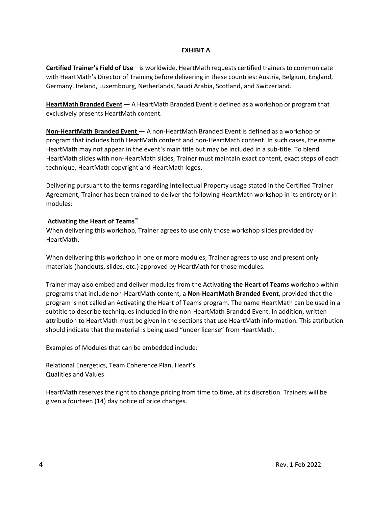# **EXHIBIT A**

**Certified Trainer's Field of Use** – is worldwide. HeartMath requests certified trainers to communicate with HeartMath's Director of Training before delivering in these countries: Austria, Belgium, England, Germany, Ireland, Luxembourg, Netherlands, Saudi Arabia, Scotland, and Switzerland.

**HeartMath Branded Event** — A HeartMath Branded Event is defined as a workshop or program that exclusively presents HeartMath content.

**Non-HeartMath Branded Event** — A non-HeartMath Branded Event is defined as a workshop or program that includes both HeartMath content and non-HeartMath content. In such cases, the name HeartMath may not appear in the event's main title but may be included in a sub-title. To blend HeartMath slides with non-HeartMath slides, Trainer must maintain exact content, exact steps of each technique, HeartMath copyright and HeartMath logos.

Delivering pursuant to the terms regarding Intellectual Property usage stated in the Certified Trainer Agreement, Trainer has been trained to deliver the following HeartMath workshop in its entirety or in modules:

## **Activating the Heart of Teams™**

When delivering this workshop, Trainer agrees to use only those workshop slides provided by HeartMath.

When delivering this workshop in one or more modules, Trainer agrees to use and present only materials (handouts, slides, etc.) approved by HeartMath for those modules.

Trainer may also embed and deliver modules from the Activating **the Heart of Teams** workshop within programs that include non-HeartMath content, a **Non-HeartMath Branded Event**, provided that the program is not called an Activating the Heart of Teams program. The name HeartMath can be used in a subtitle to describe techniques included in the non-HeartMath Branded Event. In addition, written attribution to HeartMath must be given in the sections that use HeartMath information. This attribution should indicate that the material is being used "under license" from HeartMath.

Examples of Modules that can be embedded include:

Relational Energetics, Team Coherence Plan, Heart's Qualities and Values

HeartMath reserves the right to change pricing from time to time, at its discretion. Trainers will be given a fourteen (14) day notice of price changes.